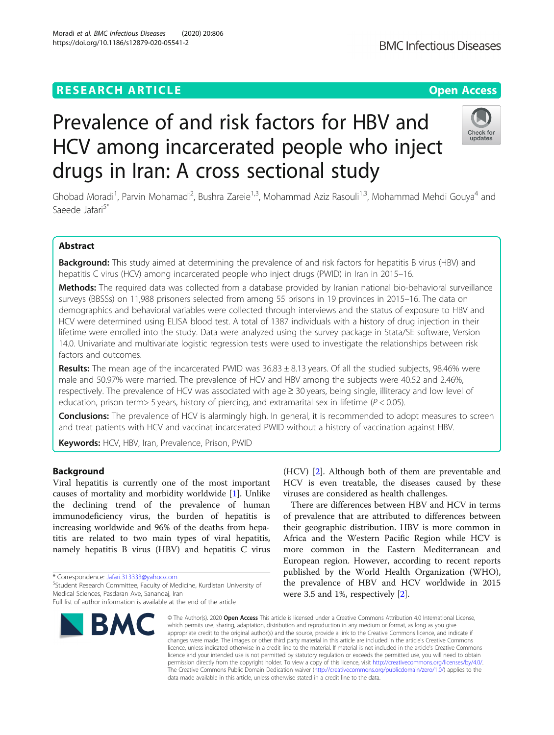# **RESEARCH ARTICLE Example 2014 12:30 The Contract of Contract ACCESS**

# Prevalence of and risk factors for HBV and HCV among incarcerated people who inject drugs in Iran: A cross sectional study

Ghobad Moradi<sup>1</sup>, Parvin Mohamadi<sup>2</sup>, Bushra Zareie<sup>1,3</sup>, Mohammad Aziz Rasouli<sup>1,3</sup>, Mohammad Mehdi Gouya<sup>4</sup> and Saeede Jafari<sup>5\*</sup>

# Abstract

Background: This study aimed at determining the prevalence of and risk factors for hepatitis B virus (HBV) and hepatitis C virus (HCV) among incarcerated people who inject drugs (PWID) in Iran in 2015–16.

Methods: The required data was collected from a database provided by Iranian national bio-behavioral surveillance surveys (BBSSs) on 11,988 prisoners selected from among 55 prisons in 19 provinces in 2015–16. The data on demographics and behavioral variables were collected through interviews and the status of exposure to HBV and HCV were determined using ELISA blood test. A total of 1387 individuals with a history of drug injection in their lifetime were enrolled into the study. Data were analyzed using the survey package in Stata/SE software, Version 14.0. Univariate and multivariate logistic regression tests were used to investigate the relationships between risk factors and outcomes.

Results: The mean age of the incarcerated PWID was  $36.83 \pm 8.13$  years. Of all the studied subjects, 98.46% were male and 50.97% were married. The prevalence of HCV and HBV among the subjects were 40.52 and 2.46%, respectively. The prevalence of HCV was associated with age ≥ 30 years, being single, illiteracy and low level of education, prison term > 5 years, history of piercing, and extramarital sex in lifetime ( $P < 0.05$ ).

Conclusions: The prevalence of HCV is alarmingly high. In general, it is recommended to adopt measures to screen and treat patients with HCV and vaccinat incarcerated PWID without a history of vaccination against HBV.

Keywords: HCV, HBV, Iran, Prevalence, Prison, PWID

# Background

Viral hepatitis is currently one of the most important causes of mortality and morbidity worldwide [[1\]](#page-7-0). Unlike the declining trend of the prevalence of human immunodeficiency virus, the burden of hepatitis is increasing worldwide and 96% of the deaths from hepatitis are related to two main types of viral hepatitis, namely hepatitis B virus (HBV) and hepatitis C virus

\* Correspondence: [Jafari.313333@yahoo.com](mailto:Jafari.313333@yahoo.com) <sup>5</sup>

<sup>5</sup>Student Research Committee, Faculty of Medicine, Kurdistan University of Medical Sciences, Pasdaran Ave, Sanandaj, Iran

## Moradi et al. BMC Infectious Diseases (2020) 20:806 https://doi.org/10.1186/s12879-020-05541-2

**BMC** 

(HCV) [\[2](#page-7-0)]. Although both of them are preventable and HCV is even treatable, the diseases caused by these viruses are considered as health challenges.

There are differences between HBV and HCV in terms of prevalence that are attributed to differences between their geographic distribution. HBV is more common in Africa and the Western Pacific Region while HCV is more common in the Eastern Mediterranean and European region. However, according to recent reports published by the World Health Organization (WHO), the prevalence of HBV and HCV worldwide in 2015 were 3.5 and 1%, respectively [\[2](#page-7-0)].

© The Author(s), 2020 **Open Access** This article is licensed under a Creative Commons Attribution 4.0 International License, which permits use, sharing, adaptation, distribution and reproduction in any medium or format, as long as you give appropriate credit to the original author(s) and the source, provide a link to the Creative Commons licence, and indicate if changes were made. The images or other third party material in this article are included in the article's Creative Commons licence, unless indicated otherwise in a credit line to the material. If material is not included in the article's Creative Commons licence and your intended use is not permitted by statutory regulation or exceeds the permitted use, you will need to obtain permission directly from the copyright holder. To view a copy of this licence, visit [http://creativecommons.org/licenses/by/4.0/.](http://creativecommons.org/licenses/by/4.0/) The Creative Commons Public Domain Dedication waiver [\(http://creativecommons.org/publicdomain/zero/1.0/](http://creativecommons.org/publicdomain/zero/1.0/)) applies to the data made available in this article, unless otherwise stated in a credit line to the data.



Full list of author information is available at the end of the article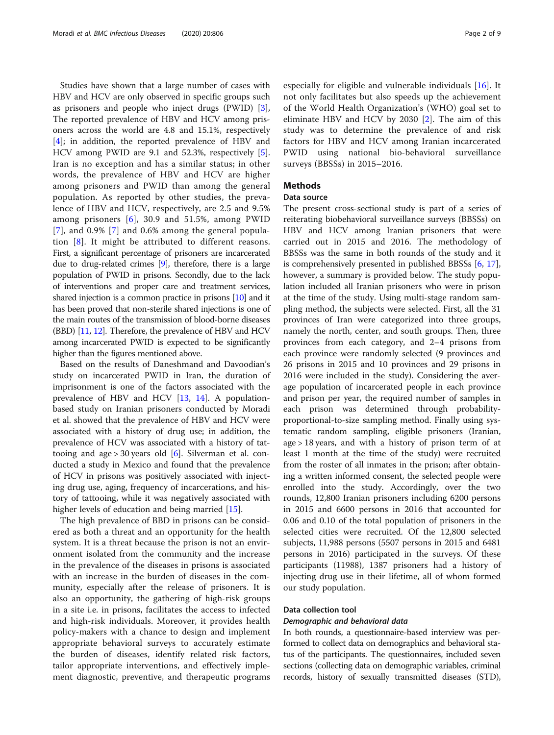Studies have shown that a large number of cases with HBV and HCV are only observed in specific groups such as prisoners and people who inject drugs (PWID) [\[3](#page-7-0)], The reported prevalence of HBV and HCV among prisoners across the world are 4.8 and 15.1%, respectively [[4\]](#page-7-0); in addition, the reported prevalence of HBV and HCV among PWID are 9.1 and 52.3%, respectively [\[5](#page-7-0)]. Iran is no exception and has a similar status; in other words, the prevalence of HBV and HCV are higher among prisoners and PWID than among the general population. As reported by other studies, the prevalence of HBV and HCV, respectively, are 2.5 and 9.5% among prisoners  $[6]$  $[6]$ , 30.9 and 51.5%, among PWID [[7](#page-7-0)], and 0.9% [[7](#page-7-0)] and 0.6% among the general population [[8](#page-7-0)]. It might be attributed to different reasons. First, a significant percentage of prisoners are incarcerated due to drug-related crimes [\[9\]](#page-7-0), therefore, there is a large population of PWID in prisons. Secondly, due to the lack of interventions and proper care and treatment services, shared injection is a common practice in prisons [[10](#page-7-0)] and it has been proved that non-sterile shared injections is one of the main routes of the transmission of blood-borne diseases (BBD) [[11](#page-7-0), [12](#page-7-0)]. Therefore, the prevalence of HBV and HCV among incarcerated PWID is expected to be significantly higher than the figures mentioned above.

Based on the results of Daneshmand and Davoodian's study on incarcerated PWID in Iran, the duration of imprisonment is one of the factors associated with the prevalence of HBV and HCV [\[13](#page-7-0), [14](#page-7-0)]. A populationbased study on Iranian prisoners conducted by Moradi et al. showed that the prevalence of HBV and HCV were associated with a history of drug use; in addition, the prevalence of HCV was associated with a history of tattooing and age > 30 years old [[6\]](#page-7-0). Silverman et al. conducted a study in Mexico and found that the prevalence of HCV in prisons was positively associated with injecting drug use, aging, frequency of incarcerations, and history of tattooing, while it was negatively associated with higher levels of education and being married [[15\]](#page-7-0).

The high prevalence of BBD in prisons can be considered as both a threat and an opportunity for the health system. It is a threat because the prison is not an environment isolated from the community and the increase in the prevalence of the diseases in prisons is associated with an increase in the burden of diseases in the community, especially after the release of prisoners. It is also an opportunity, the gathering of high-risk groups in a site i.e. in prisons, facilitates the access to infected and high-risk individuals. Moreover, it provides health policy-makers with a chance to design and implement appropriate behavioral surveys to accurately estimate the burden of diseases, identify related risk factors, tailor appropriate interventions, and effectively implement diagnostic, preventive, and therapeutic programs especially for eligible and vulnerable individuals [\[16](#page-7-0)]. It not only facilitates but also speeds up the achievement of the World Health Organization's (WHO) goal set to eliminate HBV and HCV by 2030  $[2]$  $[2]$ . The aim of this study was to determine the prevalence of and risk factors for HBV and HCV among Iranian incarcerated PWID using national bio-behavioral surveillance surveys (BBSSs) in 2015–2016.

# **Methods**

# Data source

The present cross-sectional study is part of a series of reiterating biobehavioral surveillance surveys (BBSSs) on HBV and HCV among Iranian prisoners that were carried out in 2015 and 2016. The methodology of BBSSs was the same in both rounds of the study and it is comprehensively presented in published BBSSs [\[6](#page-7-0), [17](#page-7-0)], however, a summary is provided below. The study population included all Iranian prisoners who were in prison at the time of the study. Using multi-stage random sampling method, the subjects were selected. First, all the 31 provinces of Iran were categorized into three groups, namely the north, center, and south groups. Then, three provinces from each category, and 2–4 prisons from each province were randomly selected (9 provinces and 26 prisons in 2015 and 10 provinces and 29 prisons in 2016 were included in the study). Considering the average population of incarcerated people in each province and prison per year, the required number of samples in each prison was determined through probabilityproportional-to-size sampling method. Finally using systematic random sampling, eligible prisoners (Iranian, age > 18 years, and with a history of prison term of at least 1 month at the time of the study) were recruited from the roster of all inmates in the prison; after obtaining a written informed consent, the selected people were enrolled into the study. Accordingly, over the two rounds, 12,800 Iranian prisoners including 6200 persons in 2015 and 6600 persons in 2016 that accounted for 0.06 and 0.10 of the total population of prisoners in the selected cities were recruited. Of the 12,800 selected subjects, 11,988 persons (5507 persons in 2015 and 6481 persons in 2016) participated in the surveys. Of these participants (11988), 1387 prisoners had a history of injecting drug use in their lifetime, all of whom formed our study population.

# Data collection tool

## Demographic and behavioral data

In both rounds, a questionnaire-based interview was performed to collect data on demographics and behavioral status of the participants. The questionnaires, included seven sections (collecting data on demographic variables, criminal records, history of sexually transmitted diseases (STD),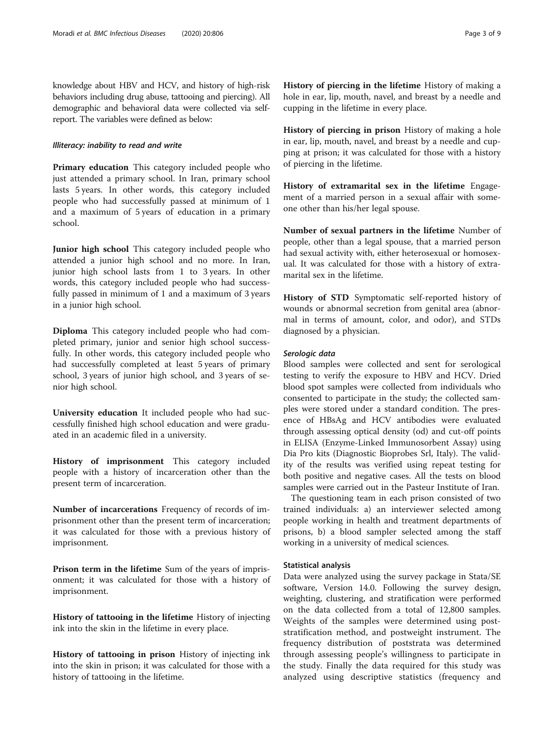knowledge about HBV and HCV, and history of high-risk behaviors including drug abuse, tattooing and piercing). All demographic and behavioral data were collected via selfreport. The variables were defined as below:

#### Illiteracy: inability to read and write

Primary education This category included people who just attended a primary school. In Iran, primary school lasts 5 years. In other words, this category included people who had successfully passed at minimum of 1 and a maximum of 5 years of education in a primary school.

Junior high school This category included people who attended a junior high school and no more. In Iran, junior high school lasts from 1 to 3 years. In other words, this category included people who had successfully passed in minimum of 1 and a maximum of 3 years in a junior high school.

Diploma This category included people who had completed primary, junior and senior high school successfully. In other words, this category included people who had successfully completed at least 5 years of primary school, 3 years of junior high school, and 3 years of senior high school.

University education It included people who had successfully finished high school education and were graduated in an academic filed in a university.

History of imprisonment This category included people with a history of incarceration other than the present term of incarceration.

Number of incarcerations Frequency of records of imprisonment other than the present term of incarceration; it was calculated for those with a previous history of imprisonment.

Prison term in the lifetime Sum of the years of imprisonment; it was calculated for those with a history of imprisonment.

History of tattooing in the lifetime History of injecting ink into the skin in the lifetime in every place.

History of tattooing in prison History of injecting ink into the skin in prison; it was calculated for those with a history of tattooing in the lifetime.

History of piercing in the lifetime History of making a hole in ear, lip, mouth, navel, and breast by a needle and cupping in the lifetime in every place.

History of piercing in prison History of making a hole in ear, lip, mouth, navel, and breast by a needle and cupping at prison; it was calculated for those with a history of piercing in the lifetime.

History of extramarital sex in the lifetime Engagement of a married person in a sexual affair with someone other than his/her legal spouse.

Number of sexual partners in the lifetime Number of people, other than a legal spouse, that a married person had sexual activity with, either heterosexual or homosexual. It was calculated for those with a history of extramarital sex in the lifetime.

History of STD Symptomatic self-reported history of wounds or abnormal secretion from genital area (abnormal in terms of amount, color, and odor), and STDs diagnosed by a physician.

#### Serologic data

Blood samples were collected and sent for serological testing to verify the exposure to HBV and HCV. Dried blood spot samples were collected from individuals who consented to participate in the study; the collected samples were stored under a standard condition. The presence of HBsAg and HCV antibodies were evaluated through assessing optical density (od) and cut-off points in ELISA (Enzyme-Linked Immunosorbent Assay) using Dia Pro kits (Diagnostic Bioprobes Srl, Italy). The validity of the results was verified using repeat testing for both positive and negative cases. All the tests on blood samples were carried out in the Pasteur Institute of Iran.

The questioning team in each prison consisted of two trained individuals: a) an interviewer selected among people working in health and treatment departments of prisons, b) a blood sampler selected among the staff working in a university of medical sciences.

#### Statistical analysis

Data were analyzed using the survey package in Stata/SE software, Version 14.0. Following the survey design, weighting, clustering, and stratification were performed on the data collected from a total of 12,800 samples. Weights of the samples were determined using poststratification method, and postweight instrument. The frequency distribution of poststrata was determined through assessing people's willingness to participate in the study. Finally the data required for this study was analyzed using descriptive statistics (frequency and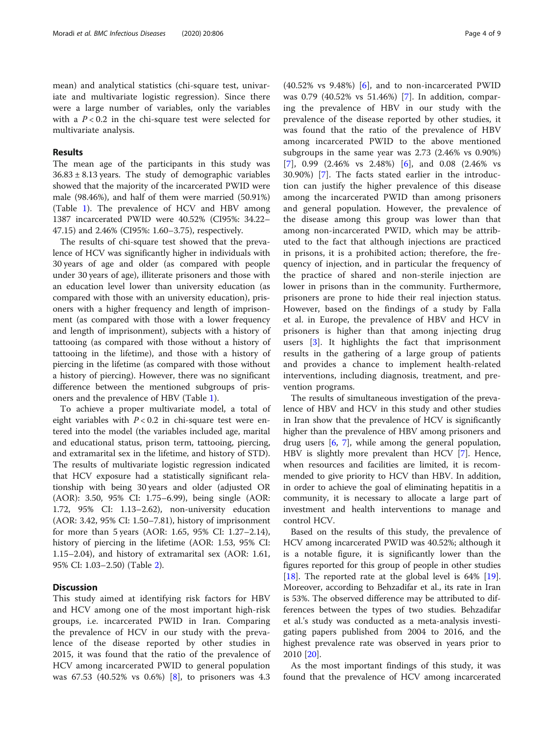mean) and analytical statistics (chi-square test, univariate and multivariate logistic regression). Since there were a large number of variables, only the variables with a  $P < 0.2$  in the chi-square test were selected for multivariate analysis.

Moradi et al. BMC Infectious Diseases (2020) 20:806 Page 4 of 9

# Results

The mean age of the participants in this study was  $36.83 \pm 8.13$  years. The study of demographic variables showed that the majority of the incarcerated PWID were male (98.46%), and half of them were married (50.91%) (Table [1\)](#page-4-0). The prevalence of HCV and HBV among 1387 incarcerated PWID were 40.52% (CI95%: 34.22– 47.15) and 2.46% (CI95%: 1.60–3.75), respectively.

The results of chi-square test showed that the prevalence of HCV was significantly higher in individuals with 30 years of age and older (as compared with people under 30 years of age), illiterate prisoners and those with an education level lower than university education (as compared with those with an university education), prisoners with a higher frequency and length of imprisonment (as compared with those with a lower frequency and length of imprisonment), subjects with a history of tattooing (as compared with those without a history of tattooing in the lifetime), and those with a history of piercing in the lifetime (as compared with those without a history of piercing). However, there was no significant difference between the mentioned subgroups of prisoners and the prevalence of HBV (Table [1](#page-4-0)).

To achieve a proper multivariate model, a total of eight variables with  $P < 0.2$  in chi-square test were entered into the model (the variables included age, marital and educational status, prison term, tattooing, piercing, and extramarital sex in the lifetime, and history of STD). The results of multivariate logistic regression indicated that HCV exposure had a statistically significant relationship with being 30 years and older (adjusted OR (AOR): 3.50, 95% CI: 1.75–6.99), being single (AOR: 1.72, 95% CI: 1.13–2.62), non-university education (AOR: 3.42, 95% CI: 1.50–7.81), history of imprisonment for more than 5 years (AOR: 1.65, 95% CI: 1.27–2.14), history of piercing in the lifetime (AOR: 1.53, 95% CI: 1.15–2.04), and history of extramarital sex (AOR: 1.61, 95% CI: 1.03–2.50) (Table [2](#page-6-0)).

# **Discussion**

This study aimed at identifying risk factors for HBV and HCV among one of the most important high-risk groups, i.e. incarcerated PWID in Iran. Comparing the prevalence of HCV in our study with the prevalence of the disease reported by other studies in 2015, it was found that the ratio of the prevalence of HCV among incarcerated PWID to general population was 67.53 (40.52% vs 0.6%) [[8\]](#page-7-0), to prisoners was 4.3

(40.52% vs 9.48%) [\[6\]](#page-7-0), and to non-incarcerated PWID was 0.79 (40.52% vs 51.46%) [[7\]](#page-7-0). In addition, comparing the prevalence of HBV in our study with the prevalence of the disease reported by other studies, it was found that the ratio of the prevalence of HBV among incarcerated PWID to the above mentioned subgroups in the same year was 2.73 (2.46% vs 0.90%) [[7](#page-7-0)], 0.99 (2.46% vs 2.48%) [\[6](#page-7-0)], and 0.08 (2.46% vs 30.90%) [\[7](#page-7-0)]. The facts stated earlier in the introduction can justify the higher prevalence of this disease among the incarcerated PWID than among prisoners and general population. However, the prevalence of the disease among this group was lower than that among non-incarcerated PWID, which may be attributed to the fact that although injections are practiced in prisons, it is a prohibited action; therefore, the frequency of injection, and in particular the frequency of the practice of shared and non-sterile injection are lower in prisons than in the community. Furthermore, prisoners are prone to hide their real injection status. However, based on the findings of a study by Falla et al. in Europe, the prevalence of HBV and HCV in prisoners is higher than that among injecting drug users  $[3]$  $[3]$ . It highlights the fact that imprisonment results in the gathering of a large group of patients and provides a chance to implement health-related interventions, including diagnosis, treatment, and prevention programs.

The results of simultaneous investigation of the prevalence of HBV and HCV in this study and other studies in Iran show that the prevalence of HCV is significantly higher than the prevalence of HBV among prisoners and drug users [[6,](#page-7-0) [7\]](#page-7-0), while among the general population, HBV is slightly more prevalent than HCV [\[7](#page-7-0)]. Hence, when resources and facilities are limited, it is recommended to give priority to HCV than HBV. In addition, in order to achieve the goal of eliminating hepatitis in a community, it is necessary to allocate a large part of investment and health interventions to manage and control HCV.

Based on the results of this study, the prevalence of HCV among incarcerated PWID was 40.52%; although it is a notable figure, it is significantly lower than the figures reported for this group of people in other studies [[18\]](#page-7-0). The reported rate at the global level is 64% [\[19](#page-7-0)]. Moreover, according to Behzadifar et al., its rate in Iran is 53%. The observed difference may be attributed to differences between the types of two studies. Behzadifar et al.'s study was conducted as a meta-analysis investigating papers published from 2004 to 2016, and the highest prevalence rate was observed in years prior to 2010 [\[20](#page-7-0)].

As the most important findings of this study, it was found that the prevalence of HCV among incarcerated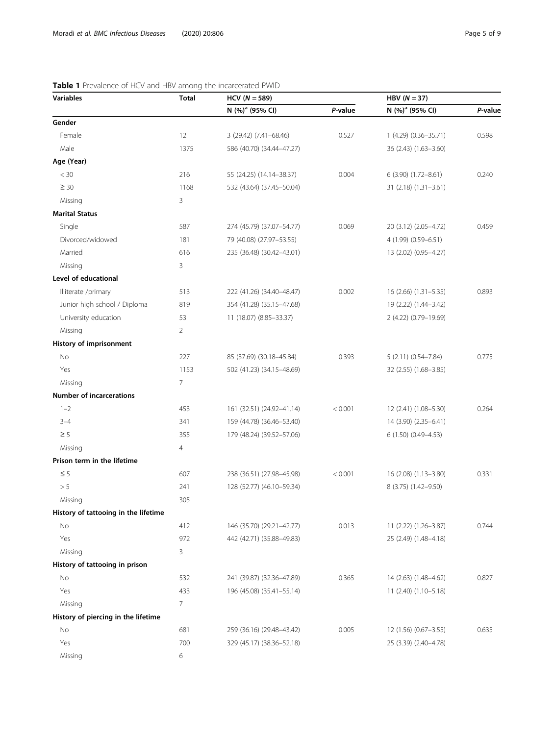# <span id="page-4-0"></span>Table 1 Prevalence of HCV and HBV among the incarcerated PWID

| Variables                            | <b>Total</b>   | $HCV (N = 589)$                    | HBV $(N = 37)$ |                             |         |  |
|--------------------------------------|----------------|------------------------------------|----------------|-----------------------------|---------|--|
|                                      |                | N (%) <sup>a</sup> (95% CI)        | P-value        | N (%) <sup>a</sup> (95% CI) | P-value |  |
| Gender                               |                |                                    |                |                             |         |  |
| Female                               | 12             | 3 (29.42) (7.41-68.46)             | 0.527          | $1(4.29)(0.36-35.71)$       | 0.598   |  |
| Male                                 | 1375           | 586 (40.70) (34.44-47.27)          |                | 36 (2.43) (1.63-3.60)       |         |  |
| Age (Year)                           |                |                                    |                |                             |         |  |
| $<$ 30                               | 216            | 55 (24.25) (14.14-38.37)           | 0.004          | 6 (3.90) (1.72-8.61)        | 0.240   |  |
| $\geq 30$                            | 1168           | 532 (43.64) (37.45-50.04)          |                | $31(2.18)(1.31-3.61)$       |         |  |
| Missing                              | 3              |                                    |                |                             |         |  |
| <b>Marital Status</b>                |                |                                    |                |                             |         |  |
| Single                               | 587            | 274 (45.79) (37.07-54.77)<br>0.069 |                | 20 (3.12) (2.05-4.72)       | 0.459   |  |
| Divorced/widowed                     | 181            | 79 (40.08) (27.97-53.55)           |                | 4 (1.99) (0.59-6.51)        |         |  |
| Married                              | 616            | 235 (36.48) (30.42-43.01)          |                | 13 (2.02) (0.95-4.27)       |         |  |
| Missing                              | 3              |                                    |                |                             |         |  |
| Level of educational                 |                |                                    |                |                             |         |  |
| Illiterate /primary                  | 513            | 222 (41.26) (34.40-48.47)          | 0.002          | $16(2.66)(1.31-5.35)$       | 0.893   |  |
| Junior high school / Diploma         | 819            | 354 (41.28) (35.15-47.68)          |                | 19 (2.22) (1.44-3.42)       |         |  |
| University education                 | 53             | 11 (18.07) (8.85-33.37)            |                | 2 (4.22) (0.79-19.69)       |         |  |
| Missing                              | $\overline{2}$ |                                    |                |                             |         |  |
| History of imprisonment              |                |                                    |                |                             |         |  |
| No                                   | 227            | 85 (37.69) (30.18-45.84)           | 0.393          | 5 (2.11) (0.54-7.84)        | 0.775   |  |
| Yes                                  | 1153           | 502 (41.23) (34.15-48.69)          |                | 32 (2.55) (1.68-3.85)       |         |  |
| Missing                              | 7              |                                    |                |                             |         |  |
| <b>Number of incarcerations</b>      |                |                                    |                |                             |         |  |
| $1 - 2$                              | 453            | 161 (32.51) (24.92-41.14)          | < 0.001        | 12 (2.41) (1.08-5.30)       | 0.264   |  |
| $3 - 4$                              | 341            | 159 (44.78) (36.46-53.40)          |                | 14 (3.90) (2.35-6.41)       |         |  |
| $\geq$ 5                             | 355            | 179 (48.24) (39.52-57.06)          |                | $6(1.50)(0.49-4.53)$        |         |  |
| Missing                              | $\overline{4}$ |                                    |                |                             |         |  |
| Prison term in the lifetime          |                |                                    |                |                             |         |  |
| $\leq$ 5                             | 607            | 238 (36.51) (27.98-45.98)          | < 0.001        | 16 (2.08) (1.13-3.80)       | 0.331   |  |
| $> 5\,$                              | 241            | 128 (52.77) (46.10-59.34)          |                | 8 (3.75) (1.42-9.50)        |         |  |
| Missing                              | 305            |                                    |                |                             |         |  |
| History of tattooing in the lifetime |                |                                    |                |                             |         |  |
| <b>No</b>                            | 412            | 146 (35.70) (29.21-42.77)          | 0.013          | $11(2.22)(1.26-3.87)$       | 0.744   |  |
| Yes                                  | 972            | 442 (42.71) (35.88-49.83)          |                | 25 (2.49) (1.48-4.18)       |         |  |
| Missing                              | 3              |                                    |                |                             |         |  |
| History of tattooing in prison       |                |                                    |                |                             |         |  |
| No                                   | 532            | 241 (39.87) (32.36-47.89)          | 0.365          | 14 (2.63) (1.48-4.62)       | 0.827   |  |
| Yes                                  | 433            | 196 (45.08) (35.41-55.14)          |                | $11(2.40)(1.10-5.18)$       |         |  |
| Missing                              | $\overline{7}$ |                                    |                |                             |         |  |
| History of piercing in the lifetime  |                |                                    |                |                             |         |  |
| No                                   | 681            | 259 (36.16) (29.48-43.42)          | 0.005          | 12 (1.56) (0.67-3.55)       | 0.635   |  |
| Yes                                  | 700            | 329 (45.17) (38.36-52.18)          |                | 25 (3.39) (2.40-4.78)       |         |  |
| Missing                              | 6              |                                    |                |                             |         |  |
|                                      |                |                                    |                |                             |         |  |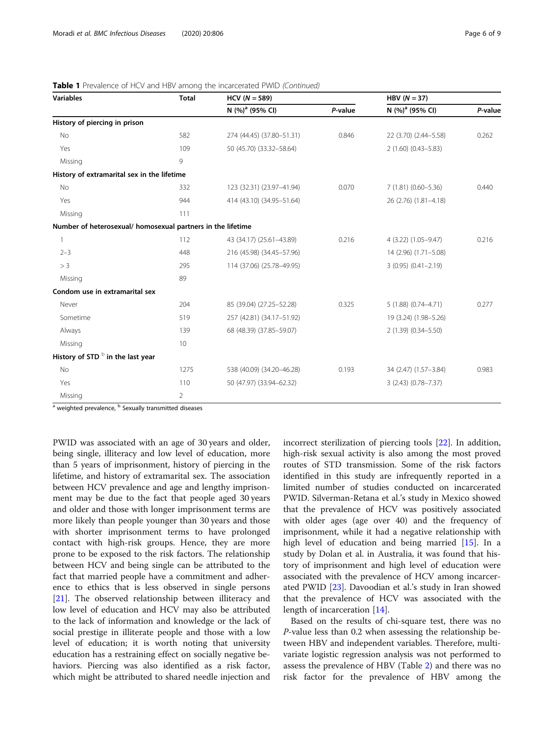| <b>Variables</b>                                            | <b>Total</b>   | $HCV (N = 589)$             | HBV $(N = 37)$ |                             |         |
|-------------------------------------------------------------|----------------|-----------------------------|----------------|-----------------------------|---------|
|                                                             |                | N (%) <sup>a</sup> (95% CI) | P-value        | N (%) <sup>a</sup> (95% CI) | P-value |
| History of piercing in prison                               |                |                             |                |                             |         |
| <b>No</b>                                                   | 582            | 274 (44.45) (37.80-51.31)   | 0.846          | 22 (3.70) (2.44-5.58)       | 0.262   |
| Yes                                                         | 109            | 50 (45.70) (33.32-58.64)    |                | 2 (1.60) (0.43-5.83)        |         |
| Missing                                                     | 9              |                             |                |                             |         |
| History of extramarital sex in the lifetime                 |                |                             |                |                             |         |
| No                                                          | 332            | 123 (32.31) (23.97-41.94)   | 0.070          | 7 (1.81) (0.60-5.36)        | 0.440   |
| Yes                                                         | 944            | 414 (43.10) (34.95-51.64)   |                | 26 (2.76) (1.81-4.18)       |         |
| Missing                                                     | 111            |                             |                |                             |         |
| Number of heterosexual/ homosexual partners in the lifetime |                |                             |                |                             |         |
|                                                             | 112            | 43 (34.17) (25.61-43.89)    | 0.216          | 4 (3.22) (1.05-9.47)        | 0.216   |
| $2 - 3$                                                     | 448            | 216 (45.98) (34.45-57.96)   |                | 14 (2.96) (1.71-5.08)       |         |
| > 3                                                         | 295            | 114 (37.06) (25.78-49.95)   |                | $3(0.95)(0.41 - 2.19)$      |         |
| Missing                                                     | 89             |                             |                |                             |         |
| Condom use in extramarital sex                              |                |                             |                |                             |         |
| Never                                                       | 204            | 85 (39.04) (27.25-52.28)    | 0.325          | 5 (1.88) (0.74-4.71)        | 0.277   |
| Sometime                                                    | 519            | 257 (42.81) (34.17-51.92)   |                | 19 (3.24) (1.98-5.26)       |         |
| Always                                                      | 139            | 68 (48.39) (37.85-59.07)    |                | 2 (1.39) (0.34-5.50)        |         |
| Missing                                                     | 10             |                             |                |                             |         |
| History of STD $b$ in the last year                         |                |                             |                |                             |         |
| No                                                          | 1275           | 538 (40.09) (34.20-46.28)   | 0.193          | 34 (2.47) (1.57-3.84)       | 0.983   |
| Yes                                                         | 110            | 50 (47.97) (33.94-62.32)    |                | 3 (2.43) (0.78-7.37)        |         |
| Missing                                                     | $\overline{2}$ |                             |                |                             |         |

Table 1 Prevalence of HCV and HBV among the incarcerated PWID (Continued)

<sup>a</sup> weighted prevalence, <sup>b</sup> Sexually transmitted diseases

PWID was associated with an age of 30 years and older, being single, illiteracy and low level of education, more than 5 years of imprisonment, history of piercing in the lifetime, and history of extramarital sex. The association between HCV prevalence and age and lengthy imprisonment may be due to the fact that people aged 30 years and older and those with longer imprisonment terms are more likely than people younger than 30 years and those with shorter imprisonment terms to have prolonged contact with high-risk groups. Hence, they are more prone to be exposed to the risk factors. The relationship between HCV and being single can be attributed to the fact that married people have a commitment and adherence to ethics that is less observed in single persons [[21\]](#page-8-0). The observed relationship between illiteracy and low level of education and HCV may also be attributed to the lack of information and knowledge or the lack of social prestige in illiterate people and those with a low level of education; it is worth noting that university education has a restraining effect on socially negative behaviors. Piercing was also identified as a risk factor, which might be attributed to shared needle injection and incorrect sterilization of piercing tools [[22](#page-8-0)]. In addition, high-risk sexual activity is also among the most proved routes of STD transmission. Some of the risk factors identified in this study are infrequently reported in a limited number of studies conducted on incarcerated PWID. Silverman-Retana et al.'s study in Mexico showed that the prevalence of HCV was positively associated with older ages (age over 40) and the frequency of imprisonment, while it had a negative relationship with high level of education and being married [[15](#page-7-0)]. In a study by Dolan et al. in Australia, it was found that history of imprisonment and high level of education were associated with the prevalence of HCV among incarcerated PWID [\[23](#page-8-0)]. Davoodian et al.'s study in Iran showed that the prevalence of HCV was associated with the length of incarceration [[14\]](#page-7-0).

Based on the results of chi-square test, there was no P-value less than 0.2 when assessing the relationship between HBV and independent variables. Therefore, multivariate logistic regression analysis was not performed to assess the prevalence of HBV (Table [2\)](#page-6-0) and there was no risk factor for the prevalence of HBV among the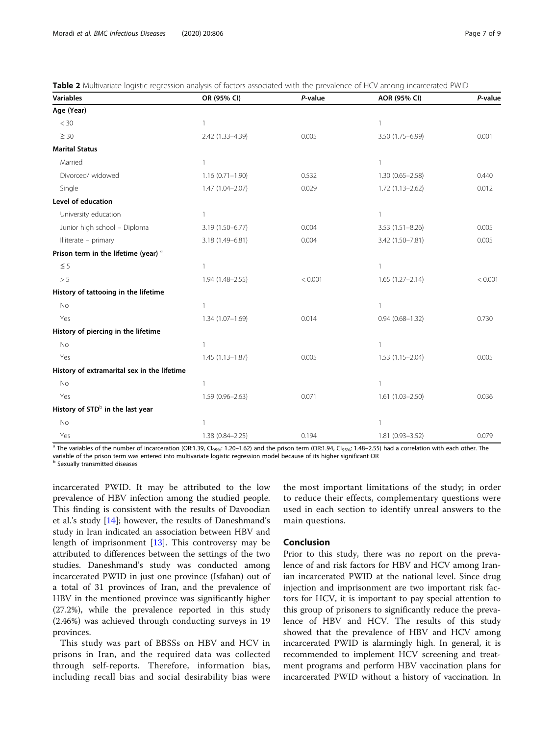| <b>Variables</b>                             | OR (95% CI)         | P-value | AOR (95% CI)        | P-value |
|----------------------------------------------|---------------------|---------|---------------------|---------|
| Age (Year)                                   |                     |         |                     |         |
| $<$ 30                                       | $\mathbf{1}$        |         | $\mathbf{1}$        |         |
| $\geq 30$                                    | 2.42 (1.33-4.39)    | 0.005   | 3.50 (1.75-6.99)    | 0.001   |
| <b>Marital Status</b>                        |                     |         |                     |         |
| Married                                      | $\mathbf{1}$        |         | $\mathbf{1}$        |         |
| Divorced/ widowed                            | $1.16(0.71 - 1.90)$ | 0.532   | $1.30(0.65 - 2.58)$ | 0.440   |
| Single                                       | 1.47 (1.04-2.07)    | 0.029   | $1.72(1.13 - 2.62)$ | 0.012   |
| Level of education                           |                     |         |                     |         |
| University education                         | $\mathbf{1}$        |         | $\mathbf{1}$        |         |
| Junior high school - Diploma                 | 3.19 (1.50-6.77)    | 0.004   | $3.53(1.51 - 8.26)$ | 0.005   |
| Illiterate - primary                         | 3.18 (1.49-6.81)    | 0.004   | 3.42 (1.50-7.81)    | 0.005   |
| Prison term in the lifetime (year) a         |                     |         |                     |         |
| $\leq$ 5                                     | $\mathbf{1}$        |         | $\mathbf{1}$        |         |
| $> 5\,$                                      | $1.94(1.48 - 2.55)$ | < 0.001 | $1.65(1.27 - 2.14)$ | < 0.001 |
| History of tattooing in the lifetime         |                     |         |                     |         |
| No                                           | 1                   |         | $\mathbf{1}$        |         |
| Yes                                          | $1.34(1.07 - 1.69)$ | 0.014   | $0.94(0.68 - 1.32)$ | 0.730   |
| History of piercing in the lifetime          |                     |         |                     |         |
| No                                           | $\mathbf{1}$        |         | $\mathbf{1}$        |         |
| Yes                                          | $1.45(1.13 - 1.87)$ | 0.005   | $1.53(1.15 - 2.04)$ | 0.005   |
| History of extramarital sex in the lifetime  |                     |         |                     |         |
| No                                           | $\mathbf{1}$        |         | $\mathbf{1}$        |         |
| Yes                                          | $1.59(0.96 - 2.63)$ | 0.071   | $1.61(1.03 - 2.50)$ | 0.036   |
| History of STD <sup>b</sup> in the last year |                     |         |                     |         |
| No                                           | 1                   |         | 1                   |         |
| Yes                                          | $1.38(0.84 - 2.25)$ | 0.194   | 1.81 (0.93-3.52)    | 0.079   |

<span id="page-6-0"></span>

| <b>Table 2</b> Multivariate logistic regression analysis of factors associated with the prevalence of HCV among incarcerated PWID |  |  |  |  |
|-----------------------------------------------------------------------------------------------------------------------------------|--|--|--|--|
|                                                                                                                                   |  |  |  |  |

<sup>a</sup> The variables of the number of incarceration (OR:1.39, Cl<sub>95%</sub>: 1.20–1.62) and the prison term (OR:1.94, Cl<sub>95%</sub>: 1.48–2.55) had a correlation with each other. The variable of the prison term was entered into multivariate logistic regression model because of its higher significant OR

**b** Sexually transmitted diseases

incarcerated PWID. It may be attributed to the low prevalence of HBV infection among the studied people. This finding is consistent with the results of Davoodian et al.'s study [[14](#page-7-0)]; however, the results of Daneshmand's study in Iran indicated an association between HBV and length of imprisonment [[13\]](#page-7-0). This controversy may be attributed to differences between the settings of the two studies. Daneshmand's study was conducted among incarcerated PWID in just one province (Isfahan) out of a total of 31 provinces of Iran, and the prevalence of HBV in the mentioned province was significantly higher (27.2%), while the prevalence reported in this study (2.46%) was achieved through conducting surveys in 19 provinces.

This study was part of BBSSs on HBV and HCV in prisons in Iran, and the required data was collected through self-reports. Therefore, information bias, including recall bias and social desirability bias were

the most important limitations of the study; in order to reduce their effects, complementary questions were used in each section to identify unreal answers to the main questions.

## Conclusion

Prior to this study, there was no report on the prevalence of and risk factors for HBV and HCV among Iranian incarcerated PWID at the national level. Since drug injection and imprisonment are two important risk factors for HCV, it is important to pay special attention to this group of prisoners to significantly reduce the prevalence of HBV and HCV. The results of this study showed that the prevalence of HBV and HCV among incarcerated PWID is alarmingly high. In general, it is recommended to implement HCV screening and treatment programs and perform HBV vaccination plans for incarcerated PWID without a history of vaccination. In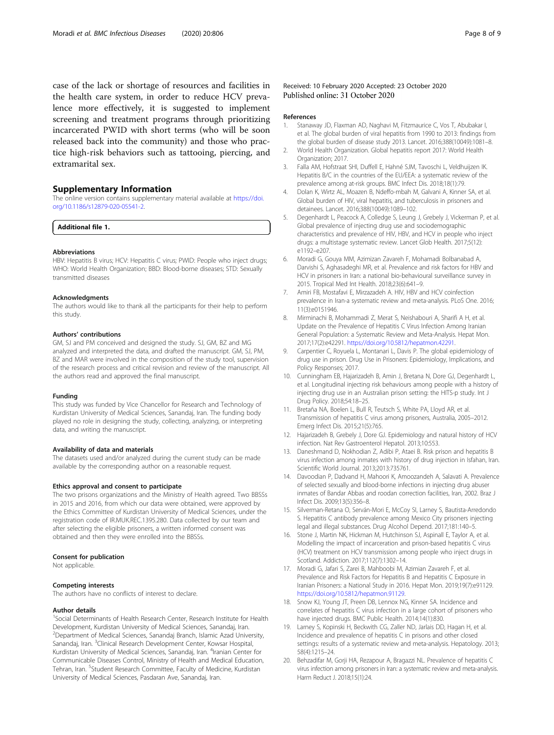<span id="page-7-0"></span>case of the lack or shortage of resources and facilities in the health care system, in order to reduce HCV prevalence more effectively, it is suggested to implement screening and treatment programs through prioritizing incarcerated PWID with short terms (who will be soon released back into the community) and those who practice high-risk behaviors such as tattooing, piercing, and extramarital sex.

# Supplementary Information

The online version contains supplementary material available at [https://doi.](https://doi.org/10.1186/s12879-020-05541-2) [org/10.1186/s12879-020-05541-2.](https://doi.org/10.1186/s12879-020-05541-2)

Additional file 1.

#### Abbreviations

HBV: Hepatitis B virus; HCV: Hepatitis C virus; PWID: People who inject drugs; WHO: World Health Organization; BBD: Blood-borne diseases; STD: Sexually transmitted diseases

#### **Acknowledgments**

The authors would like to thank all the participants for their help to perform this study.

#### Authors' contributions

GM, SJ and PM conceived and designed the study. SJ, GM, BZ and MG analyzed and interpreted the data, and drafted the manuscript. GM, SJ, PM, BZ and MAR were involved in the composition of the study tool, supervision of the research process and critical revision and review of the manuscript. All the authors read and approved the final manuscript.

#### Funding

This study was funded by Vice Chancellor for Research and Technology of Kurdistan University of Medical Sciences, Sanandaj, Iran. The funding body played no role in designing the study, collecting, analyzing, or interpreting data, and writing the manuscript.

#### Availability of data and materials

The datasets used and/or analyzed during the current study can be made available by the corresponding author on a reasonable request.

#### Ethics approval and consent to participate

The two prisons organizations and the Ministry of Health agreed. Two BBSSs in 2015 and 2016, from which our data were obtained, were approved by the Ethics Committee of Kurdistan University of Medical Sciences, under the registration code of IR.MUK.REC.1395.280. Data collected by our team and after selecting the eligible prisoners, a written informed consent was obtained and then they were enrolled into the BBSSs.

#### Consent for publication

Not applicable.

#### Competing interests

The authors have no conflicts of interest to declare.

#### Author details

<sup>1</sup>Social Determinants of Health Research Center, Research Institute for Health Development, Kurdistan University of Medical Sciences, Sanandaj, Iran. 2 Department of Medical Sciences, Sanandaj Branch, Islamic Azad University, Sanandaj, Iran. <sup>3</sup>Clinical Research Development Center, Kowsar Hospital, Kurdistan University of Medical Sciences, Sanandaj, Iran. <sup>4</sup>Iranian Center for Communicable Diseases Control, Ministry of Health and Medical Education, Tehran, Iran. <sup>5</sup>Student Research Committee, Faculty of Medicine, Kurdistan University of Medical Sciences, Pasdaran Ave, Sanandaj, Iran.

#### Received: 10 February 2020 Accepted: 23 October 2020 Published online: 31 October 2020

#### References

- 1. Stanaway JD, Flaxman AD, Naghavi M, Fitzmaurice C, Vos T, Abubakar I, et al. The global burden of viral hepatitis from 1990 to 2013: findings from the global burden of disease study 2013. Lancet. 2016;388(10049):1081–8.
- 2. World Health Organization. Global hepatitis report 2017: World Health Organization; 2017.
- 3. Falla AM, Hofstraat SHI, Duffell E, Hahné SJM, Tavoschi L, Veldhuijzen IK. Hepatitis B/C in the countries of the EU/EEA: a systematic review of the prevalence among at-risk groups. BMC Infect Dis. 2018;18(1):79.
- 4. Dolan K, Wirtz AL, Moazen B, Ndeffo-mbah M, Galvani A, Kinner SA, et al. Global burden of HIV, viral hepatitis, and tuberculosis in prisoners and detainees. Lancet. 2016;388(10049):1089–102.
- 5. Degenhardt L, Peacock A, Colledge S, Leung J, Grebely J, Vickerman P, et al. Global prevalence of injecting drug use and sociodemographic characteristics and prevalence of HIV, HBV, and HCV in people who inject drugs: a multistage systematic review. Lancet Glob Health. 2017;5(12): e1192–e207.
- 6. Moradi G, Gouya MM, Azimizan Zavareh F, Mohamadi Bolbanabad A, Darvishi S, Aghasadeghi MR, et al. Prevalence and risk factors for HBV and HCV in prisoners in Iran: a national bio-behavioural surveillance survey in 2015. Tropical Med Int Health. 2018;23(6):641–9.
- 7. Amiri FB, Mostafavi E, Mirzazadeh A. HIV, HBV and HCV coinfection prevalence in Iran-a systematic review and meta-analysis. PLoS One. 2016; 11(3):e0151946.
- 8. Mirminachi B, Mohammadi Z, Merat S, Neishabouri A, Sharifi A H, et al. Update on the Prevalence of Hepatitis C Virus Infection Among Iranian General Population: a Systematic Review and Meta-Analysis. Hepat Mon. 2017;17(2):e42291. [https://doi.org/10.5812/hepatmon.42291.](https://doi.org/10.5812/hepatmon.42291)
- 9. Carpentier C, Royuela L, Montanari L, Davis P. The global epidemiology of drug use in prison. Drug Use in Prisoners: Epidemiology, Implications, and Policy Responses; 2017.
- 10. Cunningham EB, Hajarizadeh B, Amin J, Bretana N, Dore GJ, Degenhardt L, et al. Longitudinal injecting risk behaviours among people with a history of injecting drug use in an Australian prison setting: the HITS-p study. Int J Drug Policy. 2018;54:18–25.
- 11. Bretaña NA, Boelen L, Bull R, Teutsch S, White PA, Lloyd AR, et al. Transmission of hepatitis C virus among prisoners, Australia, 2005–2012. Emerg Infect Dis. 2015;21(5):765.
- 12. Hajarizadeh B, Grebely J, Dore GJ. Epidemiology and natural history of HCV infection. Nat Rev Gastroenterol Hepatol. 2013;10:553.
- 13. Daneshmand D, Nokhodian Z, Adibi P, Ataei B. Risk prison and hepatitis B virus infection among inmates with history of drug injection in Isfahan, Iran. Scientific World Journal. 2013;2013:735761.
- 14. Davoodian P, Dadvand H, Mahoori K, Amoozandeh A, Salavati A. Prevalence of selected sexually and blood-borne infections in injecting drug abuser inmates of Bandar Abbas and roodan correction facilities, Iran, 2002. Braz J Infect Dis. 2009;13(5):356–8.
- 15. Silverman-Retana O, Serván-Mori E, McCoy SI, Larney S, Bautista-Arredondo S. Hepatitis C antibody prevalence among Mexico City prisoners injecting legal and illegal substances. Drug Alcohol Depend. 2017;181:140–5.
- 16. Stone J, Martin NK, Hickman M, Hutchinson SJ, Aspinall E, Taylor A, et al. Modelling the impact of incarceration and prison-based hepatitis C virus (HCV) treatment on HCV transmission among people who inject drugs in Scotland. Addiction. 2017;112(7):1302–14.
- 17. Moradi G, Jafari S, Zarei B, Mahboobi M, Azimian Zavareh F, et al. Prevalence and Risk Factors for Hepatitis B and Hepatitis C Exposure in Iranian Prisoners: a National Study in 2016. Hepat Mon. 2019;19(7):e91129. [https://doi.org/10.5812/hepatmon.91129.](https://doi.org/10.5812/hepatmon.91129)
- 18. Snow KJ, Young JT, Preen DB, Lennox NG, Kinner SA. Incidence and correlates of hepatitis C virus infection in a large cohort of prisoners who have injected drugs. BMC Public Health. 2014;14(1):830.
- 19. Larney S, Kopinski H, Beckwith CG, Zaller ND, Jarlais DD, Hagan H, et al. Incidence and prevalence of hepatitis C in prisons and other closed settings: results of a systematic review and meta-analysis. Hepatology. 2013; 58(4):1215–24.
- 20. Behzadifar M, Gorji HA, Rezapour A, Bragazzi NL. Prevalence of hepatitis C virus infection among prisoners in Iran: a systematic review and meta-analysis. Harm Reduct J. 2018;15(1):24.